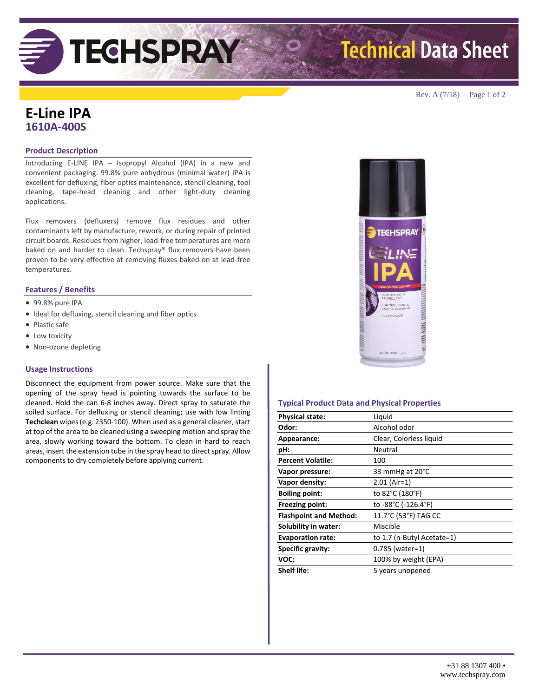**Technical Data Sheet** 

Rev. A (7/18) Page 1 of 2

## **E-Line IPA 1610A-400S**

### **Product Description**

Introducing E-LINE IPA – Isopropyl Alcohol (IPA) in a new and convenient packaging. 99.8% pure anhydrous (minimal water) IPA is excellent for defluxing, fiber optics maintenance, stencil cleaning, tool cleaning, tape-head cleaning and other light-duty cleaning applications.

**TECHSPRAY** 

Flux removers (defluxers) remove flux residues and other contaminants left by manufacture, rework, or during repair of printed circuit boards. Residues from higher, lead-free temperatures are more baked on and harder to clean. Techspray® flux removers have been proven to be very effective at removing fluxes baked on at lead-free temperatures.

### **Features / Benefits**

- 99.8% pure IPA
- $\bullet$  Ideal for defluxing, stencil cleaning and fiber optics
- Plastic safe
- Low toxicity
- Non-ozone depleting

### **Usage Instructions**

Disconnect the equipment from power source. Make sure that the opening of the spray head is pointing towards the surface to be cleaned. Hold the can 6-8 inches away. Direct spray to saturate the soiled surface. For defluxing or stencil cleaning; use with low linting **Techclean** wipes (e.g. 2350-100). When used as a general cleaner, start at top of the area to be cleaned using a sweeping motion and spray the area, slowly working toward the bottom. To clean in hard to reach areas, insert the extension tube in the spray head to direct spray. Allow components to dry completely before applying current.



### **Typical Product Data and Physical Properties**

| <b>Physical state:</b>        | Liquid                     |
|-------------------------------|----------------------------|
| Odor:                         | Alcohol odor               |
| Appearance:                   | Clear, Colorless liquid    |
| pH:                           | Neutral                    |
| <b>Percent Volatile:</b>      | 100                        |
| Vapor pressure:               | 33 mmHg at 20°C            |
| Vapor density:                | $2.01$ (Air=1)             |
| <b>Boiling point:</b>         | to 82°C (180°F)            |
| Freezing point:               | to -88°C (-126.4°F)        |
| <b>Flashpoint and Method:</b> | 11.7°C (53°F) TAG CC       |
| Solubility in water:          | Miscible                   |
| <b>Evaporation rate:</b>      | to 1.7 (n-Butyl Acetate=1) |
| Specific gravity:             | 0.785 (water=1)            |
| VOC:                          | 100% by weight (EPA)       |
| <b>Shelf life:</b>            | 5 years unopened           |